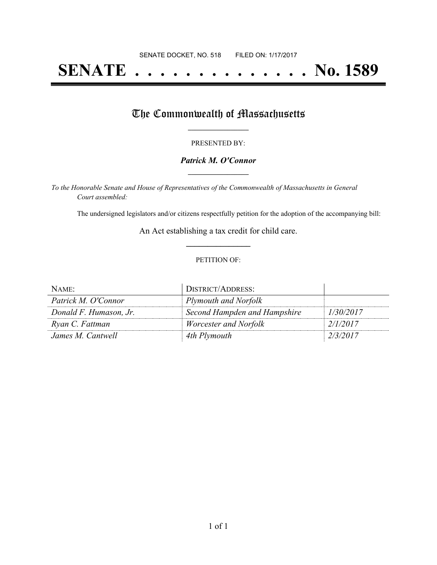# **SENATE . . . . . . . . . . . . . . No. 1589**

# The Commonwealth of Massachusetts

#### PRESENTED BY:

## *Patrick M. O'Connor* **\_\_\_\_\_\_\_\_\_\_\_\_\_\_\_\_\_**

*To the Honorable Senate and House of Representatives of the Commonwealth of Massachusetts in General Court assembled:*

The undersigned legislators and/or citizens respectfully petition for the adoption of the accompanying bill:

An Act establishing a tax credit for child care. **\_\_\_\_\_\_\_\_\_\_\_\_\_\_\_**

### PETITION OF:

| NAME:                  | DISTRICT/ADDRESS:            |           |
|------------------------|------------------------------|-----------|
| Patrick M. O'Connor    | Plymouth and Norfolk         |           |
| Donald F. Humason, Jr. | Second Hampden and Hampshire | 1/30/2017 |
| Ryan C. Fattman        | Worcester and Norfolk        | 2/1/2017  |
| James M. Cantwell      | 4th Plymouth                 | 2/3/2017  |